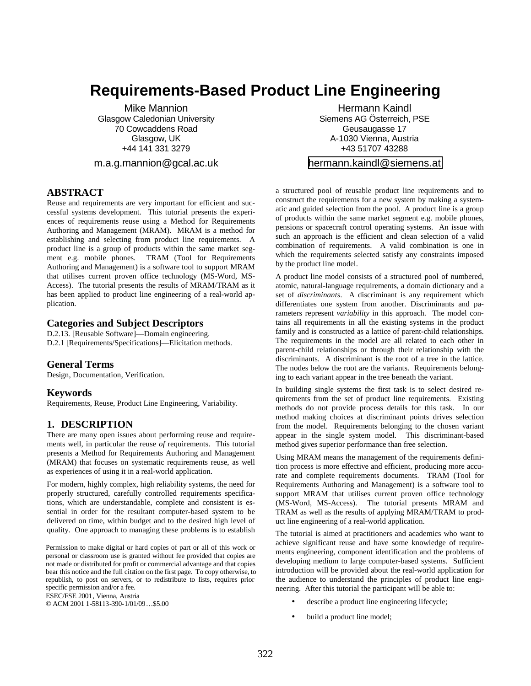# **Requirements-Based Product Line Engineering**

Mike Mannion Glasgow Caledonian University 70 Cowcaddens Road Glasgow, UK +44 141 331 3279

m.a.g.mannion@gcal.ac.uk

# **ABSTRACT**

Reuse and requirements are very important for efficient and successful systems development. This tutorial presents the experiences of requirements reuse using a Method for Requirements Authoring and Management (MRAM). MRAM is a method for establishing and selecting from product line requirements. A product line is a group of products within the same market segment e.g. mobile phones. TRAM (Tool for Requirements Authoring and Management) is a software tool to support MRAM that utilises current proven office technology (MS-Word, MS-Access). The tutorial presents the results of MRAM/TRAM as it has been applied to product line engineering of a real-world application.

## **Categories and Subject Descriptors**

D.2.13. [Reusable Software]—Domain engineering. D.2.1 [Requirements/Specifications]—Elicitation methods.

## **General Terms**

Design, Documentation, Verification.

#### **Keywords**

Requirements, Reuse, Product Line Engineering, Variability.

## **1. DESCRIPTION**

There are many open issues about performing reuse and requirements well, in particular the reuse *of* requirements. This tutorial presents a Method for Requirements Authoring and Management (MRAM) that focuses on systematic requirements reuse, as well as experiences of using it in a real-world application.

For modern, highly complex, high reliability systems, the need for properly structured, carefully controlled requirements specifications, which are understandable, complete and consistent is essential in order for the resultant computer-based system to be delivered on time, within budget and to the desired high level of quality. One approach to managing these problems is to establish

Permission to make digital or hard copies of part or all of this work or personal or classroom use is granted without fee provided that copies are not made or distributed for profit or commercial advantage and that copies bear this notice and the full citation on the first page. To copy otherwise, to republish, to post on servers, or to redistribute to lists, requires prior specific permission and/or a fee.

ESEC/FSE 2001, Vienna, Austria

© ACM 2001 1-58113-390-1/01/09…\$5.00

Hermann Kaindl Siemens AG Österreich, PSE Geusaugasse 17 A-1030 Vienna, Austria +43 51707 43288

#### [hermann.kaindl@siemens.at](mailto:hermann.kaindl@siemens.at)

a structured pool of reusable product line requirements and to construct the requirements for a new system by making a systematic and guided selection from the pool. A product line is a group of products within the same market segment e.g. mobile phones, pensions or spacecraft control operating systems. An issue with such an approach is the efficient and clean selection of a valid combination of requirements. A valid combination is one in which the requirements selected satisfy any constraints imposed by the product line model.

A product line model consists of a structured pool of numbered, atomic, natural-language requirements, a domain dictionary and a set of *discriminants*. A discriminant is any requirement which differentiates one system from another. Discriminants and parameters represent *variability* in this approach. The model contains all requirements in all the existing systems in the product family and is constructed as a lattice of parent-child relationships. The requirements in the model are all related to each other in parent-child relationships or through their relationship with the discriminants. A discriminant is the root of a tree in the lattice. The nodes below the root are the variants. Requirements belonging to each variant appear in the tree beneath the variant.

In building single systems the first task is to select desired requirements from the set of product line requirements. Existing methods do not provide process details for this task. In our method making choices at discriminant points drives selection from the model. Requirements belonging to the chosen variant appear in the single system model. This discriminant-based method gives superior performance than free selection.

Using MRAM means the management of the requirements definition process is more effective and efficient, producing more accurate and complete requirements documents. TRAM (Tool for Requirements Authoring and Management) is a software tool to support MRAM that utilises current proven office technology (MS-Word, MS-Access). The tutorial presents MRAM and TRAM as well as the results of applying MRAM/TRAM to product line engineering of a real-world application.

The tutorial is aimed at practitioners and academics who want to achieve significant reuse and have some knowledge of requirements engineering, component identification and the problems of developing medium to large computer-based systems. Sufficient introduction will be provided about the real-world application for the audience to understand the principles of product line engineering. After this tutorial the participant will be able to:

- describe a product line engineering lifecycle;
- build a product line model;